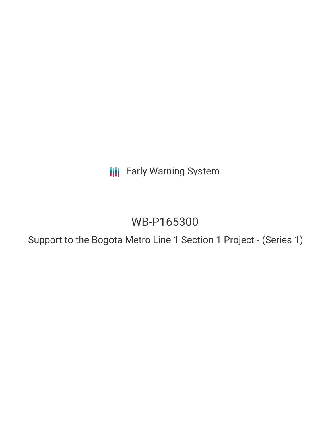**III** Early Warning System

# WB-P165300

Support to the Bogota Metro Line 1 Section 1 Project - (Series 1)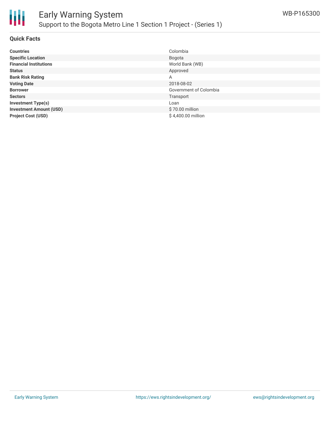

### **Quick Facts**

| <b>Countries</b>               | Colombia               |
|--------------------------------|------------------------|
| <b>Specific Location</b>       | Bogota                 |
| <b>Financial Institutions</b>  | World Bank (WB)        |
| <b>Status</b>                  | Approved               |
| <b>Bank Risk Rating</b>        | A                      |
| <b>Voting Date</b>             | 2018-08-02             |
| <b>Borrower</b>                | Government of Colombia |
| <b>Sectors</b>                 | Transport              |
| <b>Investment Type(s)</b>      | Loan                   |
| <b>Investment Amount (USD)</b> | \$70.00 million        |
| <b>Project Cost (USD)</b>      | \$4,400.00 million     |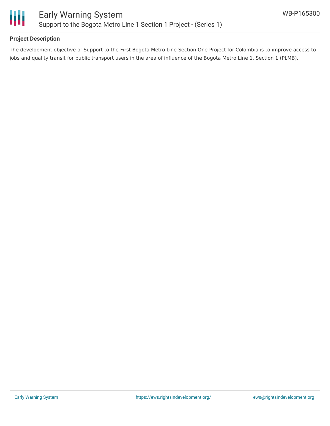

# **Project Description**

The development objective of Support to the First Bogota Metro Line Section One Project for Colombia is to improve access to jobs and quality transit for public transport users in the area of influence of the Bogota Metro Line 1, Section 1 (PLMB).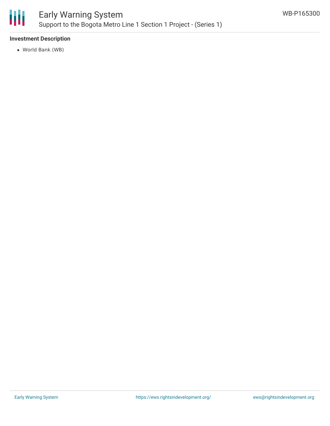

# **Investment Description**

World Bank (WB)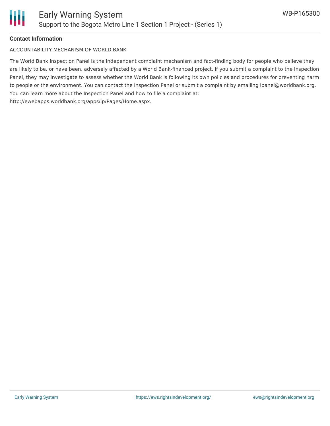

### **Contact Information**

ACCOUNTABILITY MECHANISM OF WORLD BANK

The World Bank Inspection Panel is the independent complaint mechanism and fact-finding body for people who believe they are likely to be, or have been, adversely affected by a World Bank-financed project. If you submit a complaint to the Inspection Panel, they may investigate to assess whether the World Bank is following its own policies and procedures for preventing harm to people or the environment. You can contact the Inspection Panel or submit a complaint by emailing ipanel@worldbank.org. You can learn more about the Inspection Panel and how to file a complaint at: http://ewebapps.worldbank.org/apps/ip/Pages/Home.aspx.